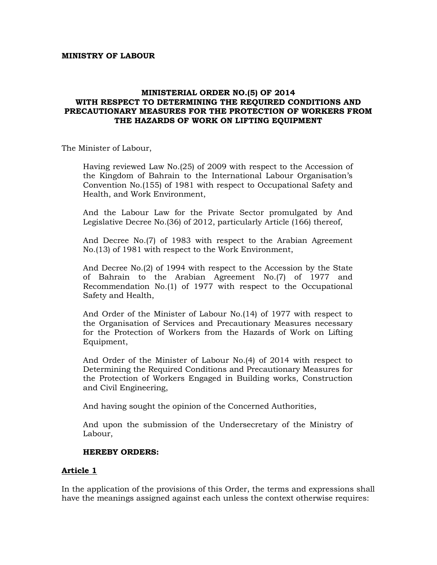#### **MINISTRY OF LABOUR**

#### **MINISTERIAL ORDER NO.(5) OF 2014 WITH RESPECT TO DETERMINING THE REQUIRED CONDITIONS AND PRECAUTIONARY MEASURES FOR THE PROTECTION OF WORKERS FROM THE HAZARDS OF WORK ON LIFTING EQUIPMENT**

The Minister of Labour,

Having reviewed Law No.(25) of 2009 with respect to the Accession of the Kingdom of Bahrain to the International Labour Organisation's Convention No.(155) of 1981 with respect to Occupational Safety and Health, and Work Environment,

And the Labour Law for the Private Sector promulgated by And Legislative Decree No.(36) of 2012, particularly Article (166) thereof,

And Decree No.(7) of 1983 with respect to the Arabian Agreement No.(13) of 1981 with respect to the Work Environment,

And Decree No.(2) of 1994 with respect to the Accession by the State of Bahrain to the Arabian Agreement No.(7) of 1977 and Recommendation No.(1) of 1977 with respect to the Occupational Safety and Health,

And Order of the Minister of Labour No.(14) of 1977 with respect to the Organisation of Services and Precautionary Measures necessary for the Protection of Workers from the Hazards of Work on Lifting Equipment,

And Order of the Minister of Labour No.(4) of 2014 with respect to Determining the Required Conditions and Precautionary Measures for the Protection of Workers Engaged in Building works, Construction and Civil Engineering,

And having sought the opinion of the Concerned Authorities,

And upon the submission of the Undersecretary of the Ministry of Labour,

### **HEREBY ORDERS:**

### **Article 1**

In the application of the provisions of this Order, the terms and expressions shall have the meanings assigned against each unless the context otherwise requires: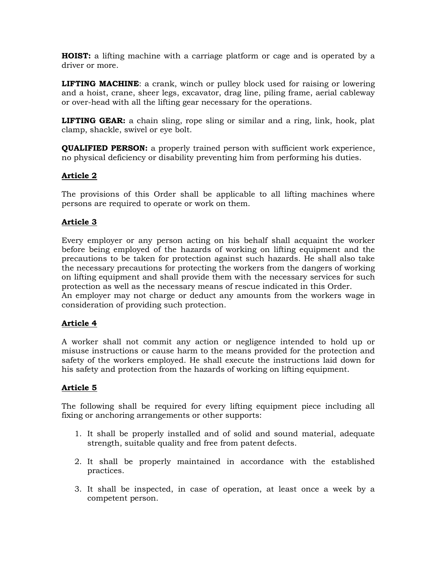**HOIST:** a lifting machine with a carriage platform or cage and is operated by a driver or more.

**LIFTING MACHINE**: a crank, winch or pulley block used for raising or lowering and a hoist, crane, sheer legs, excavator, drag line, piling frame, aerial cableway or over-head with all the lifting gear necessary for the operations.

**LIFTING GEAR:** a chain sling, rope sling or similar and a ring, link, hook, plat clamp, shackle, swivel or eye bolt.

**QUALIFIED PERSON:** a properly trained person with sufficient work experience, no physical deficiency or disability preventing him from performing his duties.

# **Article 2**

The provisions of this Order shall be applicable to all lifting machines where persons are required to operate or work on them.

### **Article 3**

Every employer or any person acting on his behalf shall acquaint the worker before being employed of the hazards of working on lifting equipment and the precautions to be taken for protection against such hazards. He shall also take the necessary precautions for protecting the workers from the dangers of working on lifting equipment and shall provide them with the necessary services for such protection as well as the necessary means of rescue indicated in this Order. An employer may not charge or deduct any amounts from the workers wage in consideration of providing such protection.

### **Article 4**

A worker shall not commit any action or negligence intended to hold up or misuse instructions or cause harm to the means provided for the protection and safety of the workers employed. He shall execute the instructions laid down for his safety and protection from the hazards of working on lifting equipment.

### **Article 5**

The following shall be required for every lifting equipment piece including all fixing or anchoring arrangements or other supports:

- 1. It shall be properly installed and of solid and sound material, adequate strength, suitable quality and free from patent defects.
- 2. It shall be properly maintained in accordance with the established practices.
- 3. It shall be inspected, in case of operation, at least once a week by a competent person.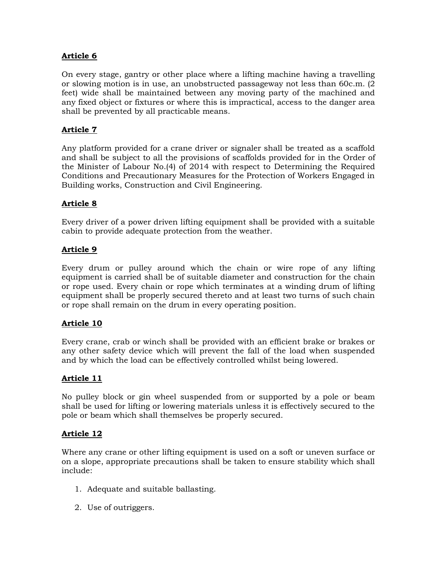On every stage, gantry or other place where a lifting machine having a travelling or slowing motion is in use, an unobstructed passageway not less than 60c.m. (2 feet) wide shall be maintained between any moving party of the machined and any fixed object or fixtures or where this is impractical, access to the danger area shall be prevented by all practicable means.

# **Article 7**

Any platform provided for a crane driver or signaler shall be treated as a scaffold and shall be subject to all the provisions of scaffolds provided for in the Order of the Minister of Labour No.(4) of 2014 with respect to Determining the Required Conditions and Precautionary Measures for the Protection of Workers Engaged in Building works, Construction and Civil Engineering.

### **Article 8**

Every driver of a power driven lifting equipment shall be provided with a suitable cabin to provide adequate protection from the weather.

# **Article 9**

Every drum or pulley around which the chain or wire rope of any lifting equipment is carried shall be of suitable diameter and construction for the chain or rope used. Every chain or rope which terminates at a winding drum of lifting equipment shall be properly secured thereto and at least two turns of such chain or rope shall remain on the drum in every operating position.

### **Article 10**

Every crane, crab or winch shall be provided with an efficient brake or brakes or any other safety device which will prevent the fall of the load when suspended and by which the load can be effectively controlled whilst being lowered.

### **Article 11**

No pulley block or gin wheel suspended from or supported by a pole or beam shall be used for lifting or lowering materials unless it is effectively secured to the pole or beam which shall themselves be properly secured.

### **Article 12**

Where any crane or other lifting equipment is used on a soft or uneven surface or on a slope, appropriate precautions shall be taken to ensure stability which shall include:

- 1. Adequate and suitable ballasting.
- 2. Use of outriggers.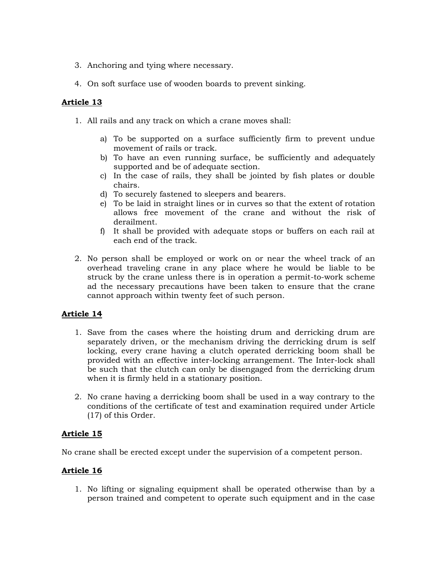- 3. Anchoring and tying where necessary.
- 4. On soft surface use of wooden boards to prevent sinking.

- 1. All rails and any track on which a crane moves shall:
	- a) To be supported on a surface sufficiently firm to prevent undue movement of rails or track.
	- b) To have an even running surface, be sufficiently and adequately supported and be of adequate section.
	- c) In the case of rails, they shall be jointed by fish plates or double chairs.
	- d) To securely fastened to sleepers and bearers.
	- e) To be laid in straight lines or in curves so that the extent of rotation allows free movement of the crane and without the risk of derailment.
	- f) It shall be provided with adequate stops or buffers on each rail at each end of the track.
- 2. No person shall be employed or work on or near the wheel track of an overhead traveling crane in any place where he would be liable to be struck by the crane unless there is in operation a permit-to-work scheme ad the necessary precautions have been taken to ensure that the crane cannot approach within twenty feet of such person.

### **Article 14**

- 1. Save from the cases where the hoisting drum and derricking drum are separately driven, or the mechanism driving the derricking drum is self locking, every crane having a clutch operated derricking boom shall be provided with an effective inter-locking arrangement. The Inter-lock shall be such that the clutch can only be disengaged from the derricking drum when it is firmly held in a stationary position.
- 2. No crane having a derricking boom shall be used in a way contrary to the conditions of the certificate of test and examination required under Article (17) of this Order.

# **Article 15**

No crane shall be erected except under the supervision of a competent person.

### **Article 16**

1. No lifting or signaling equipment shall be operated otherwise than by a person trained and competent to operate such equipment and in the case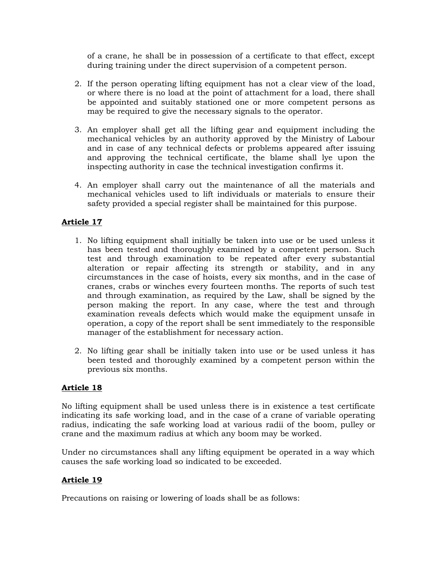of a crane, he shall be in possession of a certificate to that effect, except during training under the direct supervision of a competent person.

- 2. If the person operating lifting equipment has not a clear view of the load, or where there is no load at the point of attachment for a load, there shall be appointed and suitably stationed one or more competent persons as may be required to give the necessary signals to the operator.
- 3. An employer shall get all the lifting gear and equipment including the mechanical vehicles by an authority approved by the Ministry of Labour and in case of any technical defects or problems appeared after issuing and approving the technical certificate, the blame shall lye upon the inspecting authority in case the technical investigation confirms it.
- 4. An employer shall carry out the maintenance of all the materials and mechanical vehicles used to lift individuals or materials to ensure their safety provided a special register shall be maintained for this purpose.

# **Article 17**

- 1. No lifting equipment shall initially be taken into use or be used unless it has been tested and thoroughly examined by a competent person. Such test and through examination to be repeated after every substantial alteration or repair affecting its strength or stability, and in any circumstances in the case of hoists, every six months, and in the case of cranes, crabs or winches every fourteen months. The reports of such test and through examination, as required by the Law, shall be signed by the person making the report. In any case, where the test and through examination reveals defects which would make the equipment unsafe in operation, a copy of the report shall be sent immediately to the responsible manager of the establishment for necessary action.
- 2. No lifting gear shall be initially taken into use or be used unless it has been tested and thoroughly examined by a competent person within the previous six months.

# **Article 18**

No lifting equipment shall be used unless there is in existence a test certificate indicating its safe working load, and in the case of a crane of variable operating radius, indicating the safe working load at various radii of the boom, pulley or crane and the maximum radius at which any boom may be worked.

Under no circumstances shall any lifting equipment be operated in a way which causes the safe working load so indicated to be exceeded.

# **Article 19**

Precautions on raising or lowering of loads shall be as follows: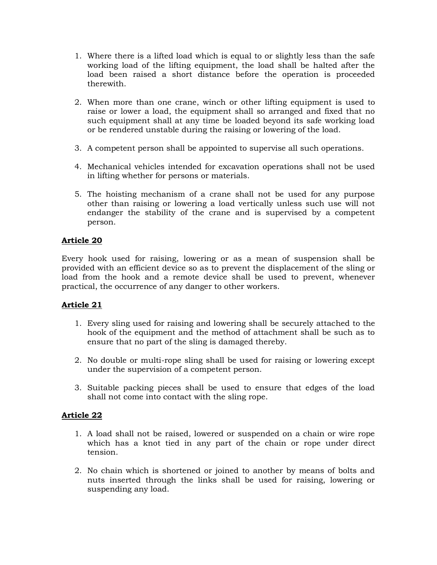- 1. Where there is a lifted load which is equal to or slightly less than the safe working load of the lifting equipment, the load shall be halted after the load been raised a short distance before the operation is proceeded therewith.
- 2. When more than one crane, winch or other lifting equipment is used to raise or lower a load, the equipment shall so arranged and fixed that no such equipment shall at any time be loaded beyond its safe working load or be rendered unstable during the raising or lowering of the load.
- 3. A competent person shall be appointed to supervise all such operations.
- 4. Mechanical vehicles intended for excavation operations shall not be used in lifting whether for persons or materials.
- 5. The hoisting mechanism of a crane shall not be used for any purpose other than raising or lowering a load vertically unless such use will not endanger the stability of the crane and is supervised by a competent person.

Every hook used for raising, lowering or as a mean of suspension shall be provided with an efficient device so as to prevent the displacement of the sling or load from the hook and a remote device shall be used to prevent, whenever practical, the occurrence of any danger to other workers.

### **Article 21**

- 1. Every sling used for raising and lowering shall be securely attached to the hook of the equipment and the method of attachment shall be such as to ensure that no part of the sling is damaged thereby.
- 2. No double or multi-rope sling shall be used for raising or lowering except under the supervision of a competent person.
- 3. Suitable packing pieces shall be used to ensure that edges of the load shall not come into contact with the sling rope.

### **Article 22**

- 1. A load shall not be raised, lowered or suspended on a chain or wire rope which has a knot tied in any part of the chain or rope under direct tension.
- 2. No chain which is shortened or joined to another by means of bolts and nuts inserted through the links shall be used for raising, lowering or suspending any load.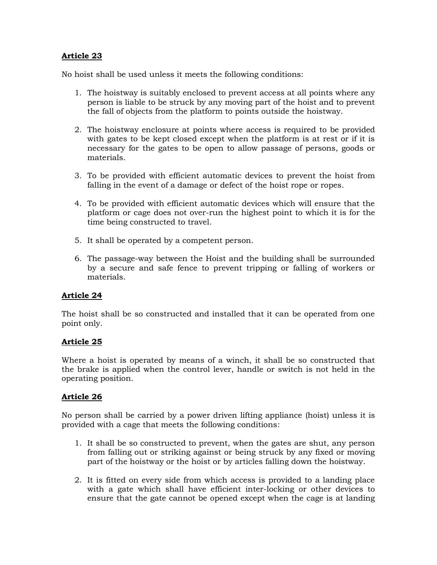No hoist shall be used unless it meets the following conditions:

- 1. The hoistway is suitably enclosed to prevent access at all points where any person is liable to be struck by any moving part of the hoist and to prevent the fall of objects from the platform to points outside the hoistway.
- 2. The hoistway enclosure at points where access is required to be provided with gates to be kept closed except when the platform is at rest or if it is necessary for the gates to be open to allow passage of persons, goods or materials.
- 3. To be provided with efficient automatic devices to prevent the hoist from falling in the event of a damage or defect of the hoist rope or ropes.
- 4. To be provided with efficient automatic devices which will ensure that the platform or cage does not over-run the highest point to which it is for the time being constructed to travel.
- 5. It shall be operated by a competent person.
- 6. The passage-way between the Hoist and the building shall be surrounded by a secure and safe fence to prevent tripping or falling of workers or materials.

### **Article 24**

The hoist shall be so constructed and installed that it can be operated from one point only.

### **Article 25**

Where a hoist is operated by means of a winch, it shall be so constructed that the brake is applied when the control lever, handle or switch is not held in the operating position.

### **Article 26**

No person shall be carried by a power driven lifting appliance (hoist) unless it is provided with a cage that meets the following conditions:

- 1. It shall be so constructed to prevent, when the gates are shut, any person from falling out or striking against or being struck by any fixed or moving part of the hoistway or the hoist or by articles falling down the hoistway.
- 2. It is fitted on every side from which access is provided to a landing place with a gate which shall have efficient inter-locking or other devices to ensure that the gate cannot be opened except when the cage is at landing